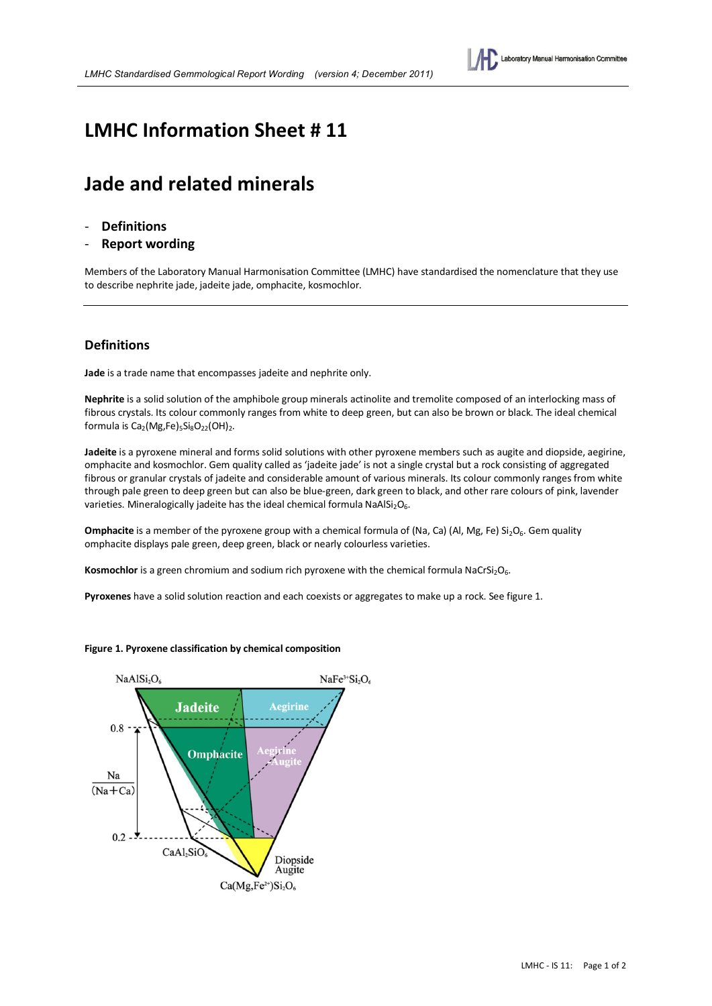

## **LMHC Information Sheet # 11**

# **Jade and related minerals**

- **Definitions**
- **Report wording**

Members of the Laboratory Manual Harmonisation Committee (LMHC) have standardised the nomenclature that they use to describe nephrite jade, jadeite jade, omphacite, kosmochlor.

#### **Definitions**

**Jade** is a trade name that encompasses jadeite and nephrite only.

**Nephrite** is a solid solution of the amphibole group minerals actinolite and tremolite composed of an interlocking mass of fibrous crystals. Its colour commonly ranges from white to deep green, but can also be brown or black. The ideal chemical formula is  $Ca<sub>2</sub>(Mg,Fe)<sub>5</sub>Si<sub>8</sub>O<sub>22</sub>(OH)<sub>2</sub>.$ 

**Jadeite** is a pyroxene mineral and forms solid solutions with other pyroxene members such as augite and diopside, aegirine, omphacite and kosmochlor. Gem quality called as 'jadeite jade' is not a single crystal but a rock consisting of aggregated fibrous or granular crystals of jadeite and considerable amount of various minerals. Its colour commonly ranges from white through pale green to deep green but can also be blue-green, dark green to black, and other rare colours of pink, lavender varieties. Mineralogically jadeite has the ideal chemical formula NaAlSi<sub>2</sub>O<sub>6</sub>.

**Omphacite** is a member of the pyroxene group with a chemical formula of (Na, Ca) (Al, Mg, Fe) Si<sub>2</sub>O<sub>6</sub>. Gem quality omphacite displays pale green, deep green, black or nearly colourless varieties.

**Kosmochlor** is a green chromium and sodium rich pyroxene with the chemical formula NaCrSi<sub>2</sub>O<sub>6</sub>.

**Pyroxenes** have a solid solution reaction and each coexists or aggregates to make up a rock. See figure 1.



**Figure 1. Pyroxene classification by chemical composition**